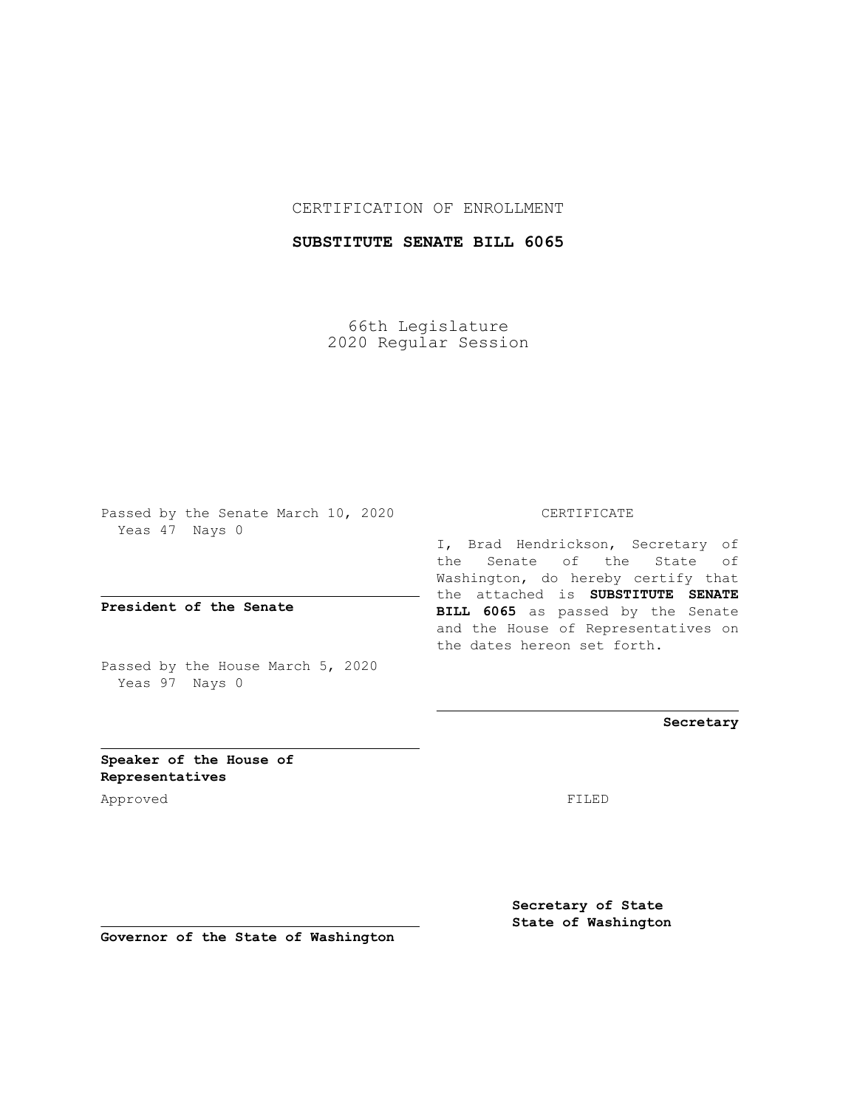## CERTIFICATION OF ENROLLMENT

# **SUBSTITUTE SENATE BILL 6065**

66th Legislature 2020 Regular Session

Passed by the Senate March 10, 2020 Yeas 47 Nays 0

**President of the Senate**

Passed by the House March 5, 2020 Yeas 97 Nays 0

#### CERTIFICATE

I, Brad Hendrickson, Secretary of the Senate of the State of Washington, do hereby certify that the attached is **SUBSTITUTE SENATE BILL 6065** as passed by the Senate and the House of Representatives on the dates hereon set forth.

**Secretary**

**Speaker of the House of Representatives**

Approved FILED

**Secretary of State State of Washington**

**Governor of the State of Washington**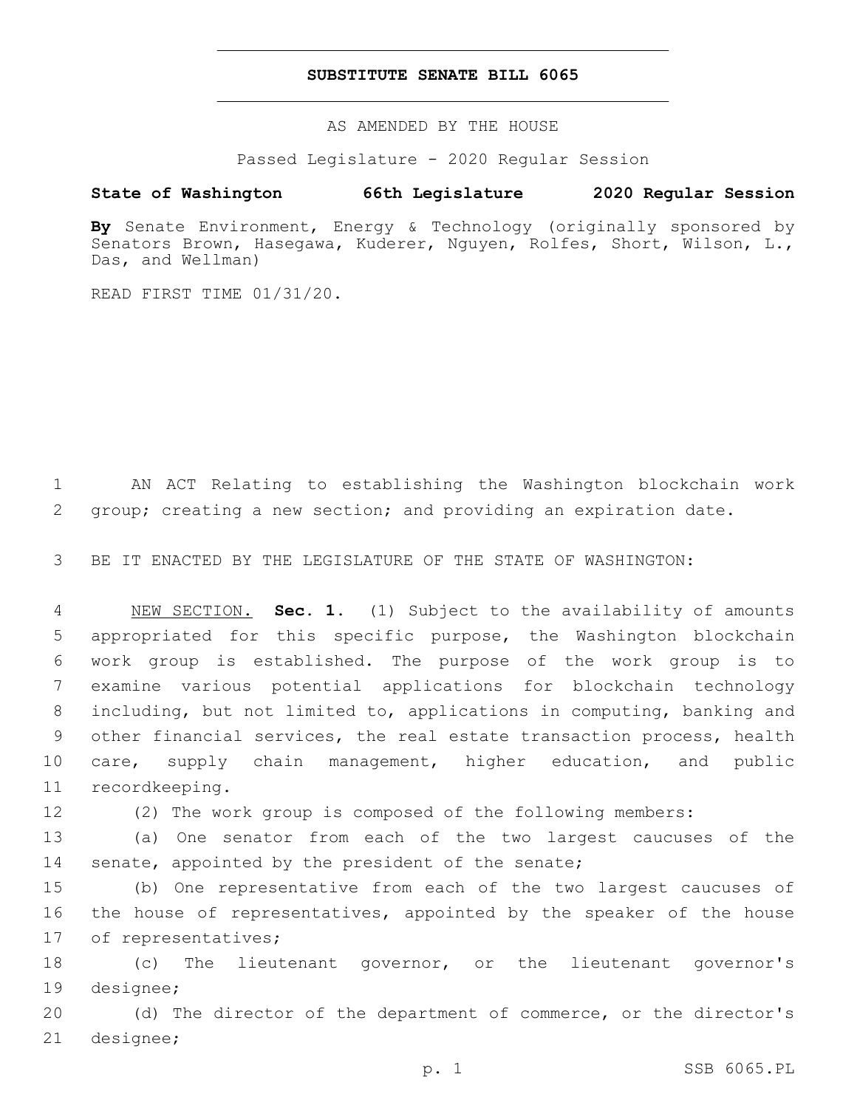### **SUBSTITUTE SENATE BILL 6065**

AS AMENDED BY THE HOUSE

Passed Legislature - 2020 Regular Session

# **State of Washington 66th Legislature 2020 Regular Session**

**By** Senate Environment, Energy & Technology (originally sponsored by Senators Brown, Hasegawa, Kuderer, Nguyen, Rolfes, Short, Wilson, L., Das, and Wellman)

READ FIRST TIME 01/31/20.

1 AN ACT Relating to establishing the Washington blockchain work 2 group; creating a new section; and providing an expiration date.

3 BE IT ENACTED BY THE LEGISLATURE OF THE STATE OF WASHINGTON:

 NEW SECTION. **Sec. 1.** (1) Subject to the availability of amounts appropriated for this specific purpose, the Washington blockchain work group is established. The purpose of the work group is to examine various potential applications for blockchain technology including, but not limited to, applications in computing, banking and other financial services, the real estate transaction process, health care, supply chain management, higher education, and public recordkeeping.

12 (2) The work group is composed of the following members:

13 (a) One senator from each of the two largest caucuses of the 14 senate, appointed by the president of the senate;

15 (b) One representative from each of the two largest caucuses of 16 the house of representatives, appointed by the speaker of the house 17 of representatives;

18 (c) The lieutenant governor, or the lieutenant governor's 19 designee;

20 (d) The director of the department of commerce, or the director's 21 designee;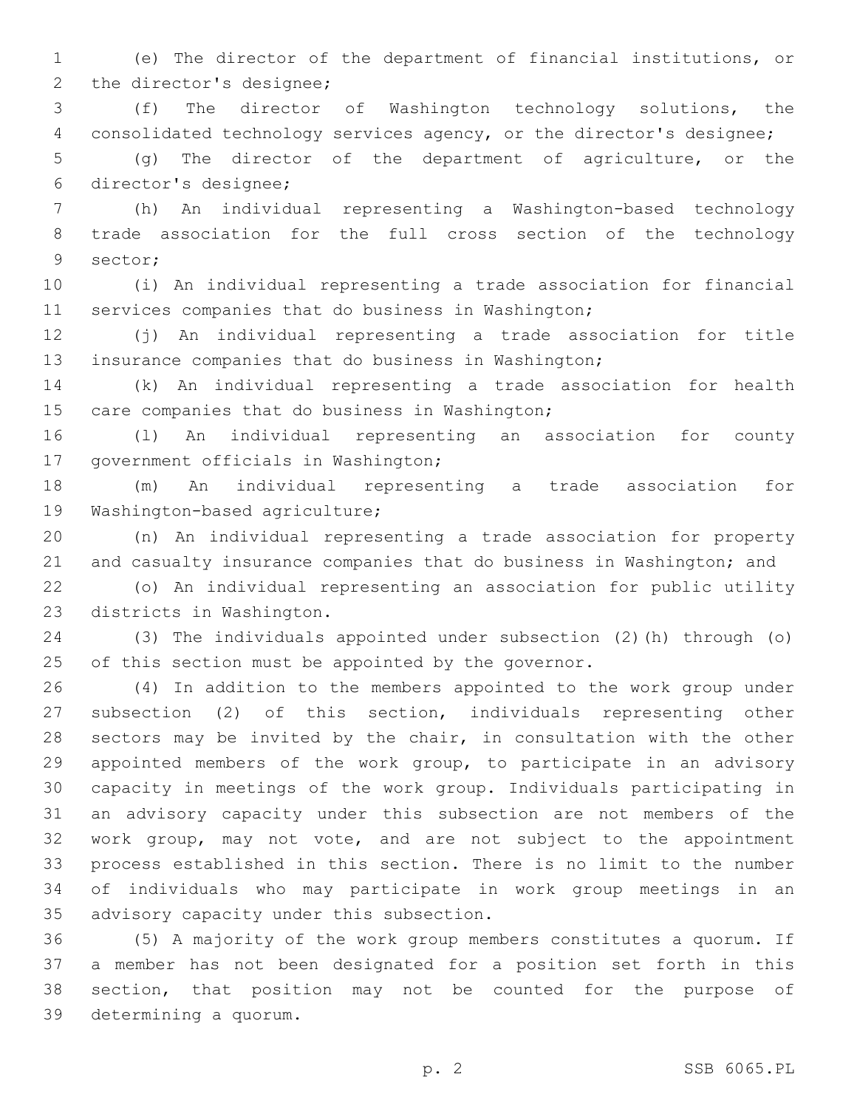(e) The director of the department of financial institutions, or 2 the director's designee;

 (f) The director of Washington technology solutions, the consolidated technology services agency, or the director's designee;

 (g) The director of the department of agriculture, or the director's designee;6

 (h) An individual representing a Washington-based technology trade association for the full cross section of the technology 9 sector;

 (i) An individual representing a trade association for financial services companies that do business in Washington;

 (j) An individual representing a trade association for title insurance companies that do business in Washington;

 (k) An individual representing a trade association for health 15 care companies that do business in Washington;

 (l) An individual representing an association for county 17 government officials in Washington;

 (m) An individual representing a trade association for 19 Washington-based agriculture;

 (n) An individual representing a trade association for property and casualty insurance companies that do business in Washington; and

 (o) An individual representing an association for public utility 23 districts in Washington.

 (3) The individuals appointed under subsection (2)(h) through (o) 25 of this section must be appointed by the governor.

 (4) In addition to the members appointed to the work group under subsection (2) of this section, individuals representing other sectors may be invited by the chair, in consultation with the other appointed members of the work group, to participate in an advisory capacity in meetings of the work group. Individuals participating in an advisory capacity under this subsection are not members of the work group, may not vote, and are not subject to the appointment process established in this section. There is no limit to the number of individuals who may participate in work group meetings in an 35 advisory capacity under this subsection.

 (5) A majority of the work group members constitutes a quorum. If a member has not been designated for a position set forth in this section, that position may not be counted for the purpose of 39 determining a quorum.